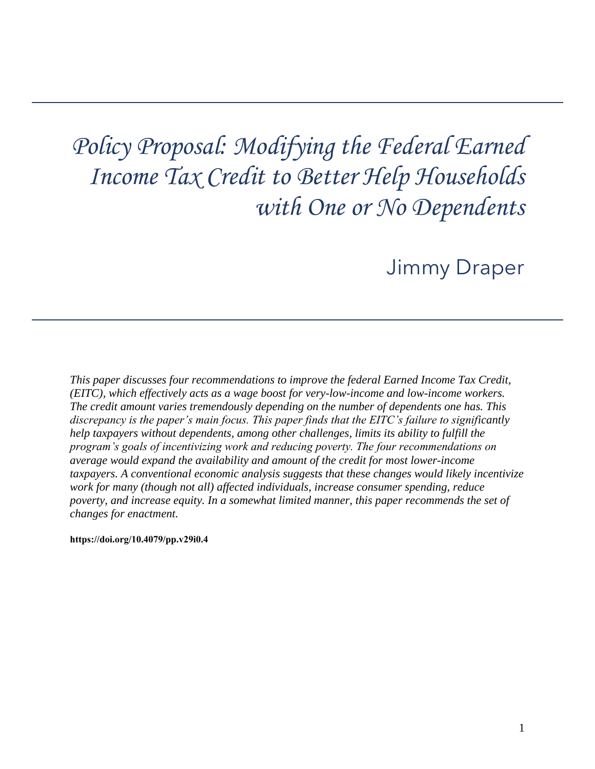# *Policy Proposal: Modifying the Federal Earned Income Tax Credit to Better Help Households with One or No Dependents*

# Jimmy Draper

*This paper discusses four recommendations to improve the federal Earned Income Tax Credit, (EITC), which effectively acts as a wage boost for very-low-income and low-income workers. The credit amount varies tremendously depending on the number of dependents one has. This discrepancy is the paper's main focus. This paper finds that the EITC's failure to significantly help taxpayers without dependents, among other challenges, limits its ability to fulfill the program's goals of incentivizing work and reducing poverty. The four recommendations on average would expand the availability and amount of the credit for most lower-income taxpayers. A conventional economic analysis suggests that these changes would likely incentivize work for many (though not all) affected individuals, increase consumer spending, reduce poverty, and increase equity. In a somewhat limited manner, this paper recommends the set of changes for enactment.* 

**[https://doi.org/10.4079/pp.v29i0.4](https://doi.org/10.4079/pp.v28i0.9)**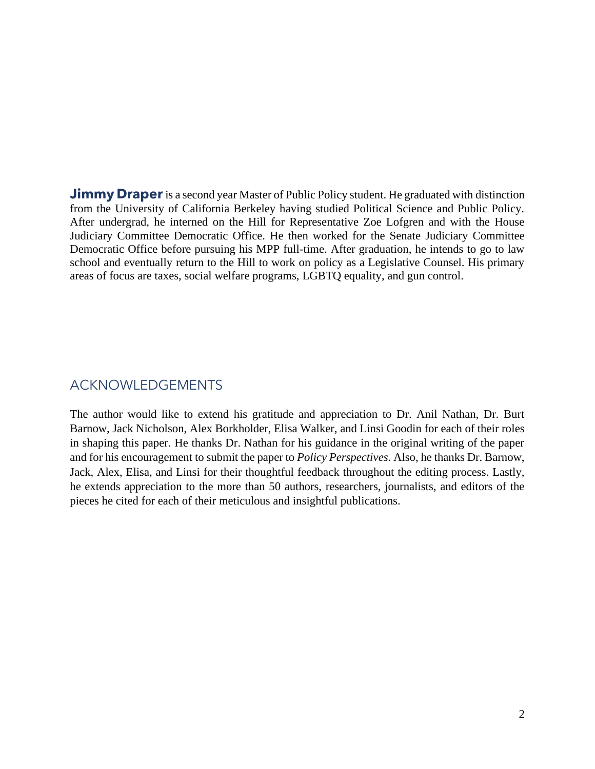**Jimmy Draper** is a second year Master of Public Policy student. He graduated with distinction from the University of California Berkeley having studied Political Science and Public Policy. After undergrad, he interned on the Hill for Representative Zoe Lofgren and with the House Judiciary Committee Democratic Office. He then worked for the Senate Judiciary Committee Democratic Office before pursuing his MPP full-time. After graduation, he intends to go to law school and eventually return to the Hill to work on policy as a Legislative Counsel. His primary areas of focus are taxes, social welfare programs, LGBTQ equality, and gun control.

# ACKNOWLEDGEMENTS

 Barnow, Jack Nicholson, Alex Borkholder, Elisa Walker, and Linsi Goodin for each of their roles in shaping this paper. He thanks Dr. Nathan for his guidance in the original writing of the paper Jack, Alex, Elisa, and Linsi for their thoughtful feedback throughout the editing process. Lastly, pieces he cited for each of their meticulous and insightful publications. The author would like to extend his gratitude and appreciation to Dr. Anil Nathan, Dr. Burt and for his encouragement to submit the paper to *Policy Perspectives*. Also, he thanks Dr. Barnow, he extends appreciation to the more than 50 authors, researchers, journalists, and editors of the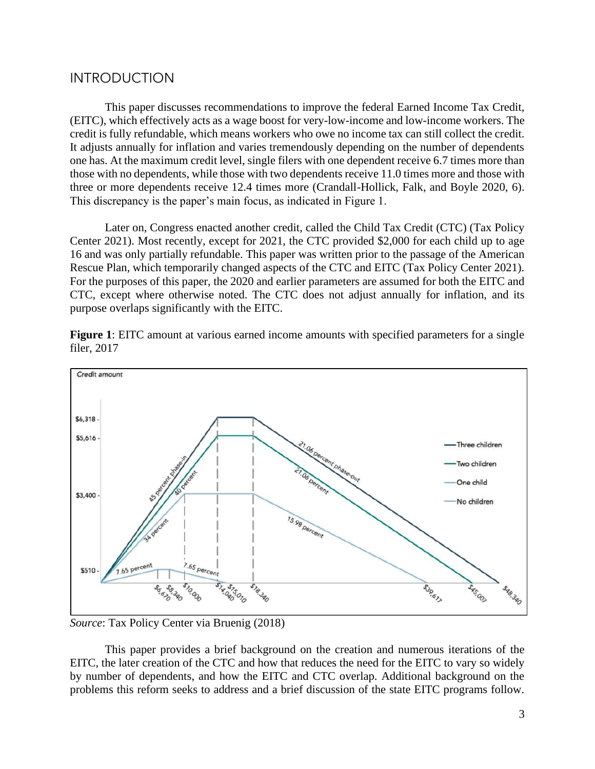### **INTRODUCTION**

 (EITC), which effectively acts as a wage boost for very-low-income and low-income workers. The credit is fully refundable, which means workers who owe no income tax can still collect the credit. It adjusts annually for inflation and varies tremendously depending on the number of dependents one has. At the maximum credit level, single filers with one dependent receive 6.7 times more than those with no dependents, while those with two dependents receive 11.0 times more and those with three or more dependents receive 12.4 times more (Crandall-Hollick, Falk, and Boyle 2020, 6). This paper discusses recommendations to improve the federal Earned Income Tax Credit, This discrepancy is the paper's main focus, as indicated in Figure 1.

 Center 2021). Most recently, except for 2021, the CTC provided \$2,000 for each child up to age Rescue Plan, which temporarily changed aspects of the CTC and EITC (Tax Policy Center 2021). For the purposes of this paper, the 2020 and earlier parameters are assumed for both the EITC and CTC, except where otherwise noted. The CTC does not adjust annually for inflation, and its Later on, Congress enacted another credit, called the Child Tax Credit (CTC) (Tax Policy 16 and was only partially refundable. This paper was written prior to the passage of the American purpose overlaps significantly with the EITC.

 **Figure 1**: EITC amount at various earned income amounts with specified parameters for a single filer, 2017



*Source*: Tax Policy Center via Bruenig (2018)

 This paper provides a brief background on the creation and numerous iterations of the EITC, the later creation of the CTC and how that reduces the need for the EITC to vary so widely by number of dependents, and how the EITC and CTC overlap. Additional background on the problems this reform seeks to address and a brief discussion of the state EITC programs follow.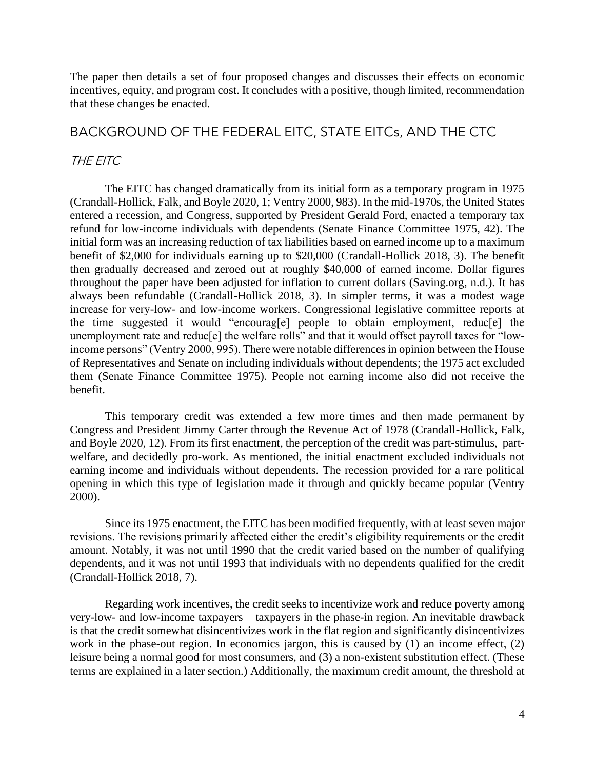The paper then details a set of four proposed changes and discusses their effects on economic incentives, equity, and program cost. It concludes with a positive, though limited, recommendation that these changes be enacted.

## BACKGROUND OF THE FEDERAL EITC, STATE EITCs, AND THE CTC

#### THE EITC

 The EITC has changed dramatically from its initial form as a temporary program in 1975 (Crandall-Hollick, Falk, and Boyle 2020, 1; Ventry 2000, 983). In the mid-1970s, the United States refund for low-income individuals with dependents (Senate Finance Committee 1975, 42). The initial form was an increasing reduction of tax liabilities based on earned income up to a maximum benefit of \$2,000 for individuals earning up to \$20,000 (Crandall-Hollick 2018, 3). The benefit throughout the paper have been adjusted for inflation to current dollars [\(Saving.org,](https://Saving.org) n.d.). It has always been refundable (Crandall-Hollick 2018, 3). In simpler terms, it was a modest wage increase for very-low- and low-income workers. Congressional legislative committee reports at income persons" (Ventry 2000, 995). There were notable differences in opinion between the House of Representatives and Senate on including individuals without dependents; the 1975 act excluded them (Senate Finance Committee 1975). People not earning income also did not receive the entered a recession, and Congress, supported by President Gerald Ford, enacted a temporary tax then gradually decreased and zeroed out at roughly \$40,000 of earned income. Dollar figures the time suggested it would "encourag[e] people to obtain employment, reduc[e] the unemployment rate and reduc<sup>[e]</sup> the welfare rolls" and that it would offset payroll taxes for "lowbenefit.

 This temporary credit was extended a few more times and then made permanent by Congress and President Jimmy Carter through the Revenue Act of 1978 (Crandall-Hollick, Falk, earning income and individuals without dependents. The recession provided for a rare political opening in which this type of legislation made it through and quickly became popular (Ventry and Boyle 2020, 12). From its first enactment, the perception of the credit was part-stimulus, partwelfare, and decidedly pro-work. As mentioned, the initial enactment excluded individuals not 2000).

 dependents, and it was not until 1993 that individuals with no dependents qualified for the credit Since its 1975 enactment, the EITC has been modified frequently, with at least seven major revisions. The revisions primarily affected either the credit's eligibility requirements or the credit amount. Notably, it was not until 1990 that the credit varied based on the number of qualifying (Crandall-Hollick 2018, 7).

 very-low- and low-income taxpayers – taxpayers in the phase-in region. An inevitable drawback work in the phase-out region. In economics jargon, this is caused by (1) an income effect, (2) leisure being a normal good for most consumers, and (3) a non-existent substitution effect. (These Regarding work incentives, the credit seeks to incentivize work and reduce poverty among is that the credit somewhat disincentivizes work in the flat region and significantly disincentivizes terms are explained in a later section.) Additionally, the maximum credit amount, the threshold at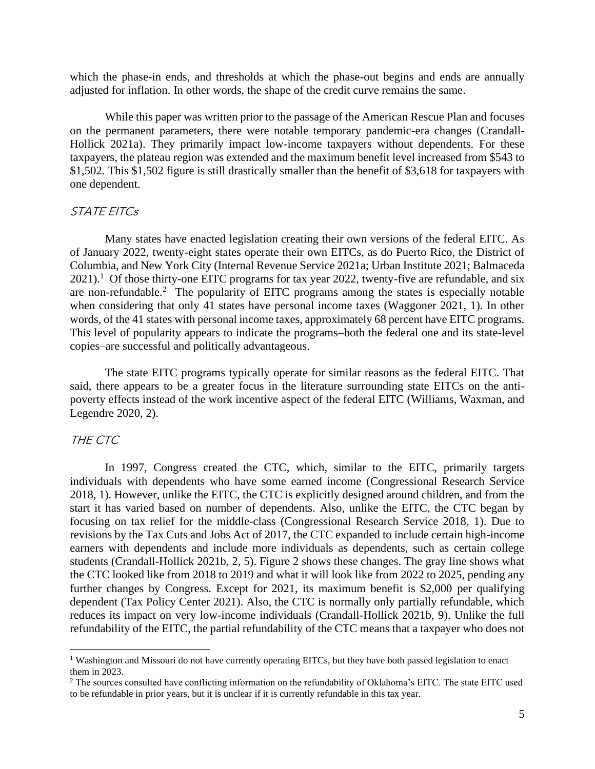which the phase-in ends, and thresholds at which the phase-out begins and ends are annually adjusted for inflation. In other words, the shape of the credit curve remains the same.

 While this paper was written prior to the passage of the American Rescue Plan and focuses on the permanent parameters, there were notable temporary pandemic-era changes (Crandall-Hollick 2021a). They primarily impact low-income taxpayers without dependents. For these taxpayers, the plateau region was extended and the maximum benefit level increased from \$543 to \$1,502. This \$1,502 figure is still drastically smaller than the benefit of \$3,618 for taxpayers with one dependent.

#### STATE EITCs

 Columbia, and New York City (Internal Revenue Service 2021a; Urban Institute 2021; Balmaceda  $2021$ <sup>1</sup>. Of those thirty-one EITC programs for tax year 2022, twenty-five are refundable, and six are non-refundable.<sup>2</sup> The popularity of EITC programs among the states is especially notable when considering that only 41 states have personal income taxes (Waggoner 2021, 1). In other This level of popularity appears to indicate the programs–both the federal one and its state-level Many states have enacted legislation creating their own versions of the federal EITC. As of January 2022, twenty-eight states operate their own EITCs, as do Puerto Rico, the District of words, of the 41 states with personal income taxes, approximately 68 percent have EITC programs. copies–are successful and politically advantageous.

 The state EITC programs typically operate for similar reasons as the federal EITC. That said, there appears to be a greater focus in the literature surrounding state EITCs on the antipoverty effects instead of the work incentive aspect of the federal EITC (Williams, Waxman, and Legendre 2020, 2).

#### THE CTC

 individuals with dependents who have some earned income (Congressional Research Service 2018, 1). However, unlike the EITC, the CTC is explicitly designed around children, and from the start it has varied based on number of dependents. Also, unlike the EITC, the CTC began by students (Crandall-Hollick 2021b, 2, 5). Figure 2 shows these changes. The gray line shows what the CTC looked like from 2018 to 2019 and what it will look like from 2022 to 2025, pending any dependent (Tax Policy Center 2021). Also, the CTC is normally only partially refundable, which refundability of the EITC, the partial refundability of the CTC means that a taxpayer who does not In 1997, Congress created the CTC, which, similar to the EITC, primarily targets focusing on tax relief for the middle-class (Congressional Research Service 2018, 1). Due to revisions by the Tax Cuts and Jobs Act of 2017, the CTC expanded to include certain high-income earners with dependents and include more individuals as dependents, such as certain college further changes by Congress. Except for 2021, its maximum benefit is \$2,000 per qualifying reduces its impact on very low-income individuals (Crandall-Hollick 2021b, 9). Unlike the full

<sup>&</sup>lt;sup>1</sup> Washington and Missouri do not have currently operating EITCs, but they have both passed legislation to enact them in 2023. them in 2023.<br><sup>2</sup> The sources consulted have conflicting information on the refundability of Oklahoma's EITC. The state EITC used

 to be refundable in prior years, but it is unclear if it is currently refundable in this tax year.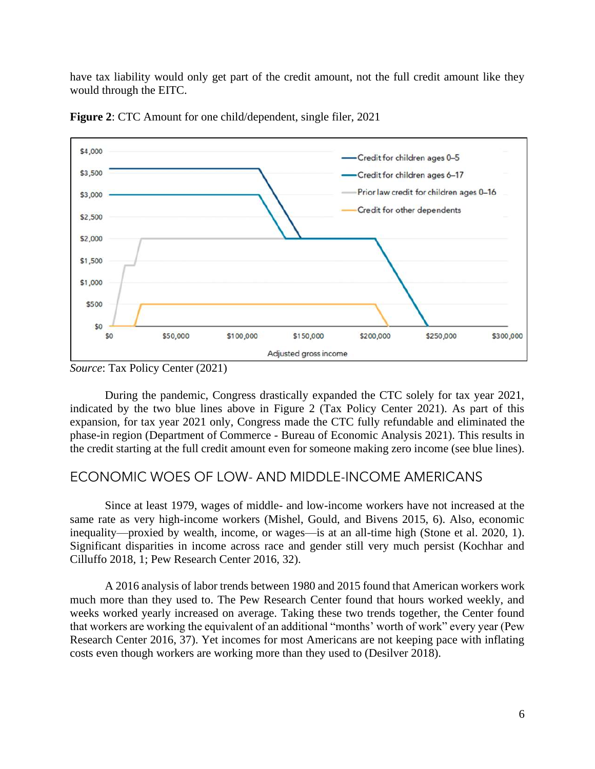have tax liability would only get part of the credit amount, not the full credit amount like they would through the EITC.



**Figure 2**: CTC Amount for one child/dependent, single filer, 2021

 indicated by the two blue lines above in Figure 2 (Tax Policy Center 2021). As part of this phase-in region (Department of Commerce - Bureau of Economic Analysis 2021). This results in the credit starting at the full credit amount even for someone making zero income (see blue lines). During the pandemic, Congress drastically expanded the CTC solely for tax year 2021, expansion, for tax year 2021 only, Congress made the CTC fully refundable and eliminated the

# ECONOMIC WOES OF LOW- AND MIDDLE-INCOME AMERICANS

 same rate as very high-income workers (Mishel, Gould, and Bivens 2015, 6). Also, economic inequality—proxied by wealth, income, or wages—is at an all-time high (Stone et al. 2020, 1). Significant disparities in income across race and gender still very much persist (Kochhar and Since at least 1979, wages of middle- and low-income workers have not increased at the Cilluffo 2018, 1; Pew Research Center 2016, 32).

 much more than they used to. The Pew Research Center found that hours worked weekly, and weeks worked yearly increased on average. Taking these two trends together, the Center found that workers are working the equivalent of an additional "months' worth of work" every year (Pew Research Center 2016, 37). Yet incomes for most Americans are not keeping pace with inflating A 2016 analysis of labor trends between 1980 and 2015 found that American workers work costs even though workers are working more than they used to (Desilver 2018).

*Source*: Tax Policy Center (2021)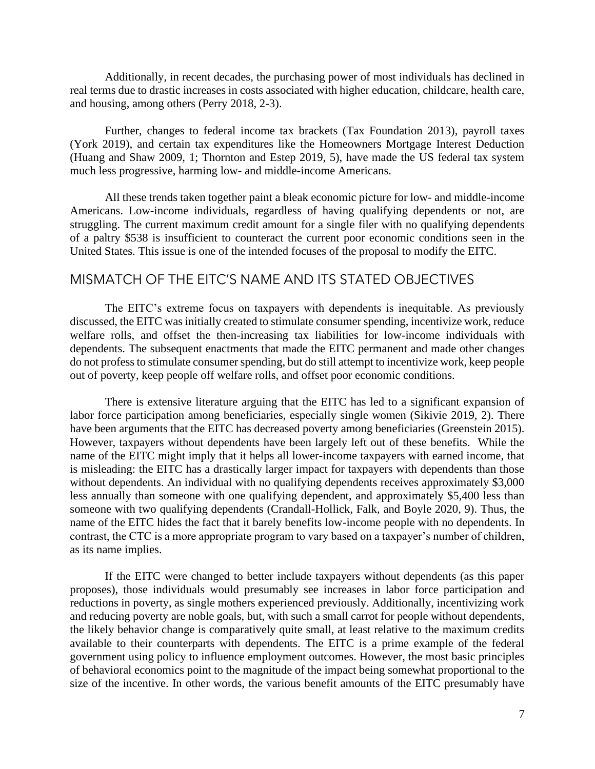real terms due to drastic increases in costs associated with higher education, childcare, health care, Additionally, in recent decades, the purchasing power of most individuals has declined in and housing, among others (Perry 2018, 2-3).

 (York 2019), and certain tax expenditures like the Homeowners Mortgage Interest Deduction (Huang and Shaw 2009, 1; Thornton and Estep 2019, 5), have made the US federal tax system Further, changes to federal income tax brackets (Tax Foundation 2013), payroll taxes much less progressive, harming low- and middle-income Americans.

 All these trends taken together paint a bleak economic picture for low- and middle-income struggling. The current maximum credit amount for a single filer with no qualifying dependents Americans. Low-income individuals, regardless of having qualifying dependents or not, are of a paltry \$538 is insufficient to counteract the current poor economic conditions seen in the United States. This issue is one of the intended focuses of the proposal to modify the EITC.

# MISMATCH OF THE EITC'S NAME AND ITS STATED OBJECTIVES

 dependents. The subsequent enactments that made the EITC permanent and made other changes do not profess to stimulate consumer spending, but do still attempt to incentivize work, keep people The EITC's extreme focus on taxpayers with dependents is inequitable. As previously discussed, the EITC was initially created to stimulate consumer spending, incentivize work, reduce welfare rolls, and offset the then-increasing tax liabilities for low-income individuals with out of poverty, keep people off welfare rolls, and offset poor economic conditions.

 There is extensive literature arguing that the EITC has led to a significant expansion of labor force participation among beneficiaries, especially single women (Sikivie 2019, 2). There However, taxpayers without dependents have been largely left out of these benefits. While the name of the EITC might imply that it helps all lower-income taxpayers with earned income, that is misleading: the EITC has a drastically larger impact for taxpayers with dependents than those less annually than someone with one qualifying dependent, and approximately \$5,400 less than someone with two qualifying dependents (Crandall-Hollick, Falk, and Boyle 2020, 9). Thus, the name of the EITC hides the fact that it barely benefits low-income people with no dependents. In contrast, the CTC is a more appropriate program to vary based on a taxpayer's number of children, have been arguments that the EITC has decreased poverty among beneficiaries (Greenstein 2015). without dependents. An individual with no qualifying dependents receives approximately \$3,000 as its name implies.

 proposes), those individuals would presumably see increases in labor force participation and and reducing poverty are noble goals, but, with such a small carrot for people without dependents, the likely behavior change is comparatively quite small, at least relative to the maximum credits available to their counterparts with dependents. The EITC is a prime example of the federal If the EITC were changed to better include taxpayers without dependents (as this paper reductions in poverty, as single mothers experienced previously. Additionally, incentivizing work government using policy to influence employment outcomes. However, the most basic principles of behavioral economics point to the magnitude of the impact being somewhat proportional to the size of the incentive. In other words, the various benefit amounts of the EITC presumably have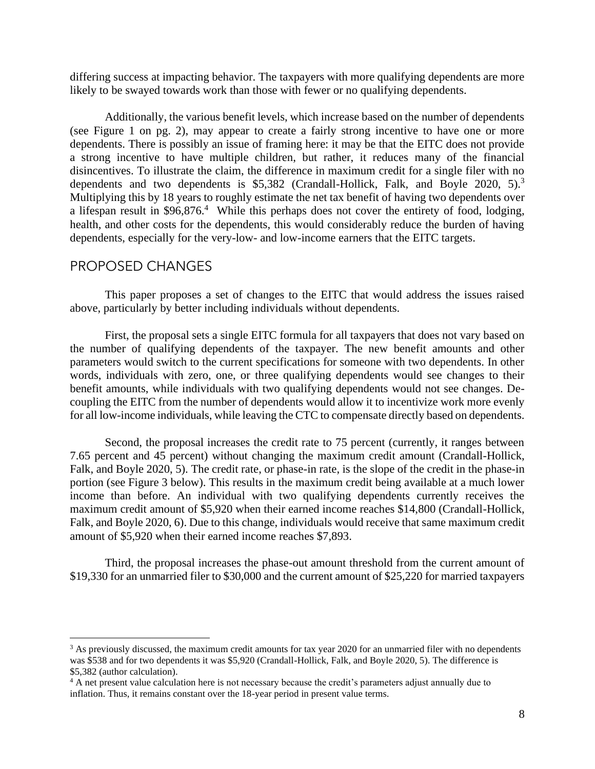differing success at impacting behavior. The taxpayers with more qualifying dependents are more likely to be swayed towards work than those with fewer or no qualifying dependents.

 Additionally, the various benefit levels, which increase based on the number of dependents (see Figure 1 on pg. 2), may appear to create a fairly strong incentive to have one or more dependents. There is possibly an issue of framing here: it may be that the EITC does not provide a strong incentive to have multiple children, but rather, it reduces many of the financial disincentives. To illustrate the claim, the difference in maximum credit for a single filer with no dependents and two dependents is \$5,382 (Crandall-Hollick, Falk, and Boyle 2020, 5).<sup>3</sup> a lifespan result in \$96,876.<sup>4</sup> While this perhaps does not cover the entirety of food, lodging, health, and other costs for the dependents, this would considerably reduce the burden of having Multiplying this by 18 years to roughly estimate the net tax benefit of having two dependents over dependents, especially for the very-low- and low-income earners that the EITC targets.

#### PROPOSED CHANGES

 This paper proposes a set of changes to the EITC that would address the issues raised above, particularly by better including individuals without dependents.

 First, the proposal sets a single EITC formula for all taxpayers that does not vary based on the number of qualifying dependents of the taxpayer. The new benefit amounts and other parameters would switch to the current specifications for someone with two dependents. In other words, individuals with zero, one, or three qualifying dependents would see changes to their benefit amounts, while individuals with two qualifying dependents would not see changes. De- coupling the EITC from the number of dependents would allow it to incentivize work more evenly for all low-income individuals, while leaving the CTC to compensate directly based on dependents.

 Second, the proposal increases the credit rate to 75 percent (currently, it ranges between 7.65 percent and 45 percent) without changing the maximum credit amount (Crandall-Hollick, Falk, and Boyle 2020, 5). The credit rate, or phase-in rate, is the slope of the credit in the phase-in portion (see Figure 3 below). This results in the maximum credit being available at a much lower maximum credit amount of \$5,920 when their earned income reaches \$14,800 (Crandall-Hollick, income than before. An individual with two qualifying dependents currently receives the Falk, and Boyle 2020, 6). Due to this change, individuals would receive that same maximum credit amount of \$5,920 when their earned income reaches \$7,893.

 Third, the proposal increases the phase-out amount threshold from the current amount of \$19,330 for an unmarried filer to \$30,000 and the current amount of \$25,220 for married taxpayers

 $3$  As previously discussed, the maximum credit amounts for tax year 2020 for an unmarried filer with no dependents was \$538 and for two dependents it was \$5,920 (Crandall-Hollick, Falk, and Boyle 2020, 5). The difference is \$5,382 (author calculation).

<sup>&</sup>lt;sup>4</sup> A net present value calculation here is not necessary because the credit's parameters adjust annually due to inflation. Thus, it remains constant over the 18-year period in present value terms.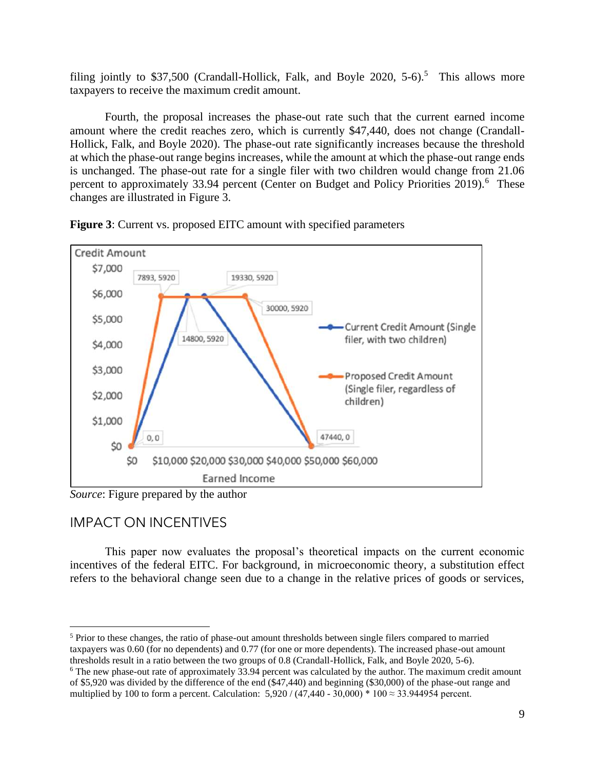filing jointly to \$37,500 (Crandall-Hollick, Falk, and Boyle 2020, 5-6).<sup>5</sup> This allows more taxpayers to receive the maximum credit amount.

 amount where the credit reaches zero, which is currently \$47,440, does not change (Crandall- Hollick, Falk, and Boyle 2020). The phase-out rate significantly increases because the threshold at which the phase-out range begins increases, while the amount at which the phase-out range ends is unchanged. The phase-out rate for a single filer with two children would change from 21.06 percent to approximately 33.94 percent (Center on Budget and Policy Priorities 2019).<sup>6</sup> These Fourth, the proposal increases the phase-out rate such that the current earned income changes are illustrated in Figure 3.



**Figure 3**: Current vs. proposed EITC amount with specified parameters

*Source*: Figure prepared by the author

# IMPACT ON INCENTIVES

 incentives of the federal EITC. For background, in microeconomic theory, a substitution effect refers to the behavioral change seen due to a change in the relative prices of goods or services, This paper now evaluates the proposal's theoretical impacts on the current economic

 $<sup>5</sup>$  Prior to these changes, the ratio of phase-out amount thresholds between single filers compared to married</sup> taxpayers was 0.60 (for no dependents) and 0.77 (for one or more dependents). The increased phase-out amount thresholds result in a ratio between the two groups of 0.8 (Crandall-Hollick, Falk, and Boyle 2020, 5-6). thresholds result in a ratio between the two groups of 0.8 (Crandall-Hollick, Falk, and Boyle 2020, 5-6).<br><sup>6</sup> The new phase-out rate of approximately 33.94 percent was calculated by the author. The maximum credit amount

 of \$5,920 was divided by the difference of the end (\$47,440) and beginning (\$30,000) of the phase-out range and multiplied by 100 to form a percent. Calculation:  $5,920 / (47,440 - 30,000) * 100 \approx 33.944954$  percent.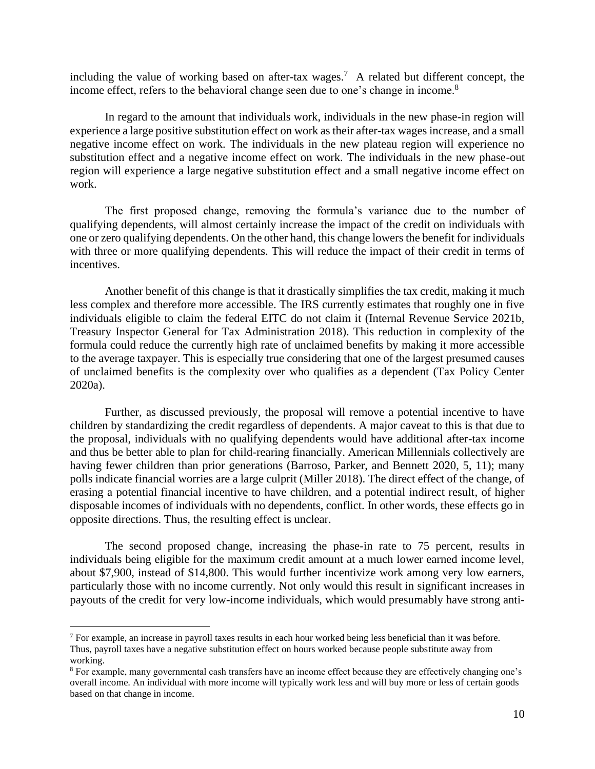including the value of working based on after-tax wages.<sup>7</sup> A related but different concept, the income effect, refers to the behavioral change seen due to one's change in income.<sup>8</sup>

 experience a large positive substitution effect on work as their after-tax wages increase, and a small negative income effect on work. The individuals in the new plateau region will experience no substitution effect and a negative income effect on work. The individuals in the new phase-out region will experience a large negative substitution effect and a small negative income effect on In regard to the amount that individuals work, individuals in the new phase-in region will work.

 The first proposed change, removing the formula's variance due to the number of one or zero qualifying dependents. On the other hand, this change lowers the benefit for individuals with three or more qualifying dependents. This will reduce the impact of their credit in terms of qualifying dependents, will almost certainly increase the impact of the credit on individuals with incentives.

 Another benefit of this change is that it drastically simplifies the tax credit, making it much less complex and therefore more accessible. The IRS currently estimates that roughly one in five individuals eligible to claim the federal EITC do not claim it (Internal Revenue Service 2021b, formula could reduce the currently high rate of unclaimed benefits by making it more accessible Treasury Inspector General for Tax Administration 2018). This reduction in complexity of the to the average taxpayer. This is especially true considering that one of the largest presumed causes of unclaimed benefits is the complexity over who qualifies as a dependent (Tax Policy Center 2020a).

 Further, as discussed previously, the proposal will remove a potential incentive to have having fewer children than prior generations (Barroso, Parker, and Bennett 2020, 5, 11); many polls indicate financial worries are a large culprit (Miller 2018). The direct effect of the change, of erasing a potential financial incentive to have children, and a potential indirect result, of higher disposable incomes of individuals with no dependents, conflict. In other words, these effects go in children by standardizing the credit regardless of dependents. A major caveat to this is that due to the proposal, individuals with no qualifying dependents would have additional after-tax income and thus be better able to plan for child-rearing financially. American Millennials collectively are opposite directions. Thus, the resulting effect is unclear.

 individuals being eligible for the maximum credit amount at a much lower earned income level, about \$7,900, instead of \$14,800. This would further incentivize work among very low earners, payouts of the credit for very low-income individuals, which would presumably have strong anti-The second proposed change, increasing the phase-in rate to 75 percent, results in particularly those with no income currently. Not only would this result in significant increases in

 $7$  For example, an increase in payroll taxes results in each hour worked being less beneficial than it was before. Thus, payroll taxes have a negative substitution effect on hours worked because people substitute away from working.

 $8$  For example, many governmental cash transfers have an income effect because they are effectively changing one's overall income. An individual with more income will typically work less and will buy more or less of certain goods based on that change in income.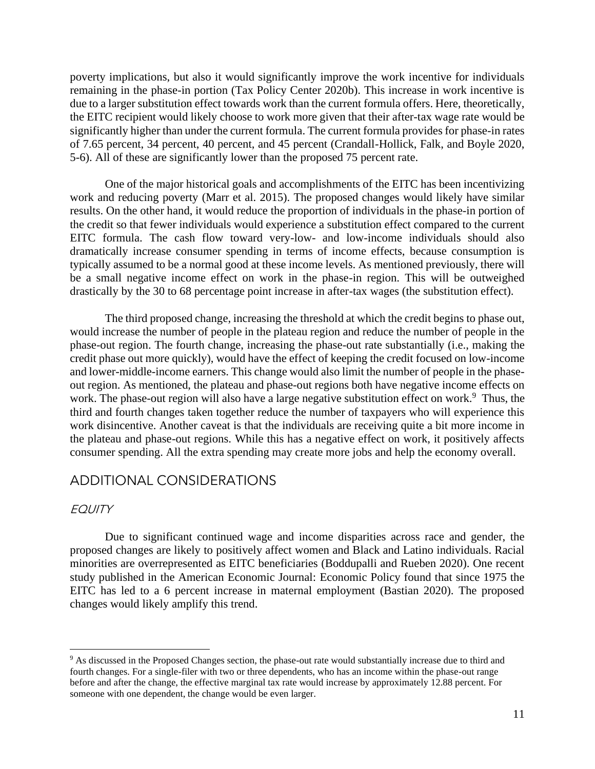poverty implications, but also it would significantly improve the work incentive for individuals remaining in the phase-in portion (Tax Policy Center 2020b). This increase in work incentive is due to a larger substitution effect towards work than the current formula offers. Here, theoretically, significantly higher than under the current formula. The current formula provides for phase-in rates the EITC recipient would likely choose to work more given that their after-tax wage rate would be of 7.65 percent, 34 percent, 40 percent, and 45 percent (Crandall-Hollick, Falk, and Boyle 2020, 5-6). All of these are significantly lower than the proposed 75 percent rate.

 One of the major historical goals and accomplishments of the EITC has been incentivizing work and reducing poverty (Marr et al. 2015). The proposed changes would likely have similar results. On the other hand, it would reduce the proportion of individuals in the phase-in portion of the credit so that fewer individuals would experience a substitution effect compared to the current EITC formula. The cash flow toward very-low- and low-income individuals should also typically assumed to be a normal good at these income levels. As mentioned previously, there will be a small negative income effect on work in the phase-in region. This will be outweighed dramatically increase consumer spending in terms of income effects, because consumption is drastically by the 30 to 68 percentage point increase in after-tax wages (the substitution effect).

 The third proposed change, increasing the threshold at which the credit begins to phase out, would increase the number of people in the plateau region and reduce the number of people in the credit phase out more quickly), would have the effect of keeping the credit focused on low-income and lower-middle-income earners. This change would also limit the number of people in the phase- out region. As mentioned, the plateau and phase-out regions both have negative income effects on work. The phase-out region will also have a large negative substitution effect on work.<sup>9</sup> Thus, the third and fourth changes taken together reduce the number of taxpayers who will experience this work disincentive. Another caveat is that the individuals are receiving quite a bit more income in the plateau and phase-out regions. While this has a negative effect on work, it positively affects phase-out region. The fourth change, increasing the phase-out rate substantially (i.e., making the consumer spending. All the extra spending may create more jobs and help the economy overall.

#### ADDITIONAL CONSIDERATIONS

#### **EQUITY**

 Due to significant continued wage and income disparities across race and gender, the minorities are overrepresented as EITC beneficiaries (Boddupalli and Rueben 2020). One recent study published in the American Economic Journal: Economic Policy found that since 1975 the EITC has led to a 6 percent increase in maternal employment (Bastian 2020). The proposed proposed changes are likely to positively affect women and Black and Latino individuals. Racial changes would likely amplify this trend.

<sup>&</sup>lt;sup>9</sup> As discussed in the Proposed Changes section, the phase-out rate would substantially increase due to third and fourth changes. For a single-filer with two or three dependents, who has an income within the phase-out range before and after the change, the effective marginal tax rate would increase by approximately 12.88 percent. For someone with one dependent, the change would be even larger.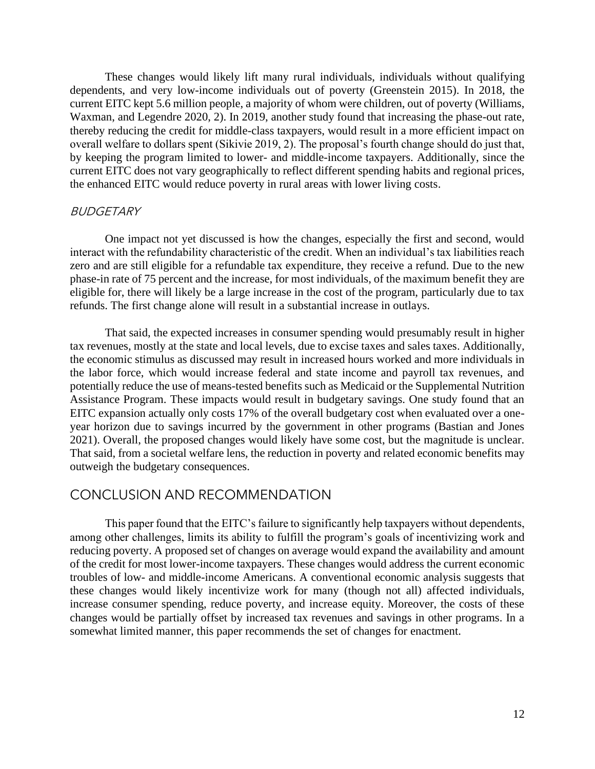These changes would likely lift many rural individuals, individuals without qualifying thereby reducing the credit for middle-class taxpayers, would result in a more efficient impact on overall welfare to dollars spent (Sikivie 2019, 2). The proposal's fourth change should do just that, dependents, and very low-income individuals out of poverty (Greenstein 2015). In 2018, the current EITC kept 5.6 million people, a majority of whom were children, out of poverty (Williams, Waxman, and Legendre 2020, 2). In 2019, another study found that increasing the phase-out rate, by keeping the program limited to lower- and middle-income taxpayers. Additionally, since the current EITC does not vary geographically to reflect different spending habits and regional prices, the enhanced EITC would reduce poverty in rural areas with lower living costs.

#### BUDGETARY

 One impact not yet discussed is how the changes, especially the first and second, would zero and are still eligible for a refundable tax expenditure, they receive a refund. Due to the new eligible for, there will likely be a large increase in the cost of the program, particularly due to tax interact with the refundability characteristic of the credit. When an individual's tax liabilities reach phase-in rate of 75 percent and the increase, for most individuals, of the maximum benefit they are refunds. The first change alone will result in a substantial increase in outlays.

 That said, the expected increases in consumer spending would presumably result in higher tax revenues, mostly at the state and local levels, due to excise taxes and sales taxes. Additionally, the economic stimulus as discussed may result in increased hours worked and more individuals in the labor force, which would increase federal and state income and payroll tax revenues, and potentially reduce the use of means-tested benefits such as Medicaid or the Supplemental Nutrition Assistance Program. These impacts would result in budgetary savings. One study found that an EITC expansion actually only costs 17% of the overall budgetary cost when evaluated over a one- 2021). Overall, the proposed changes would likely have some cost, but the magnitude is unclear. year horizon due to savings incurred by the government in other programs (Bastian and Jones That said, from a societal welfare lens, the reduction in poverty and related economic benefits may outweigh the budgetary consequences.

#### CONCLUSION AND RECOMMENDATION

 of the credit for most lower-income taxpayers. These changes would address the current economic these changes would likely incentivize work for many (though not all) affected individuals, increase consumer spending, reduce poverty, and increase equity. Moreover, the costs of these changes would be partially offset by increased tax revenues and savings in other programs. In a This paper found that the EITC's failure to significantly help taxpayers without dependents, among other challenges, limits its ability to fulfill the program's goals of incentivizing work and reducing poverty. A proposed set of changes on average would expand the availability and amount troubles of low- and middle-income Americans. A conventional economic analysis suggests that somewhat limited manner, this paper recommends the set of changes for enactment.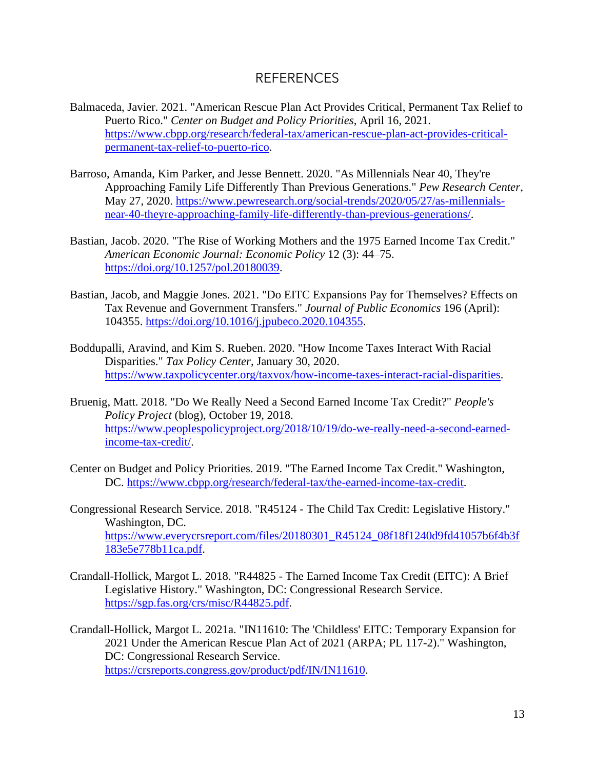#### REFERENCES

- Balmaceda, Javier. 2021. "American Rescue Plan Act Provides Critical, Permanent Tax Relief to Puerto Rico." *Center on Budget and Policy Priorities*, April 16, 2021. [https://www.cbpp.org/research/federal-tax/american-rescue-plan-act-provides-critical](https://www.cbpp.org/research/federal-tax/american-rescue-plan-act-provides-critical-permanent-tax-relief-to-puerto-rico)[permanent-tax-relief-to-puerto-rico.](https://www.cbpp.org/research/federal-tax/american-rescue-plan-act-provides-critical-permanent-tax-relief-to-puerto-rico)
- Barroso, Amanda, Kim Parker, and Jesse Bennett. 2020. "As Millennials Near 40, They're Approaching Family Life Differently Than Previous Generations." *Pew Research Center*, May 27, 2020. [https://www.pewresearch.org/social-trends/2020/05/27/as-millennials](https://www.pewresearch.org/social-trends/2020/05/27/as-millennials-near-40-theyre-approaching-family-life-differently-than-previous-generations/)[near-40-theyre-approaching-family-life-differently-than-previous-generations/.](https://www.pewresearch.org/social-trends/2020/05/27/as-millennials-near-40-theyre-approaching-family-life-differently-than-previous-generations/)
- Bastian, Jacob. 2020. "The Rise of Working Mothers and the 1975 Earned Income Tax Credit." *American Economic Journal: Economic Policy* 12 (3): 44–75. [https://doi.org/10.1257/pol.20180039.](https://doi.org/10.1257/pol.20180039)
- Bastian, Jacob, and Maggie Jones. 2021. "Do EITC Expansions Pay for Themselves? Effects on Tax Revenue and Government Transfers." *Journal of Public Economics* 196 (April): 104355. [https://doi.org/10.1016/j.jpubeco.2020.104355.](https://doi.org/10.1016/j.jpubeco.2020.104355)
- Boddupalli, Aravind, and Kim S. Rueben. 2020. "How Income Taxes Interact With Racial Disparities." *Tax Policy Center*, January 30, 2020. [https://www.taxpolicycenter.org/taxvox/how-income-taxes-interact-racial-disparities.](https://www.taxpolicycenter.org/taxvox/how-income-taxes-interact-racial-disparities)
- Bruenig, Matt. 2018. "Do We Really Need a Second Earned Income Tax Credit?" *People's Policy Project* (blog), October 19, 2018. [https://www.peoplespolicyproject.org/2018/10/19/do-we-really-need-a-second-earned](https://www.peoplespolicyproject.org/2018/10/19/do-we-really-need-a-second-earned-income-tax-credit/)[income-tax-credit/.](https://www.peoplespolicyproject.org/2018/10/19/do-we-really-need-a-second-earned-income-tax-credit/)
- Center on Budget and Policy Priorities. 2019. "The Earned Income Tax Credit." Washington, DC. [https://www.cbpp.org/research/federal-tax/the-earned-income-tax-credit.](https://www.cbpp.org/research/federal-tax/the-earned-income-tax-credit)
- Congressional Research Service. 2018. "R45124 The Child Tax Credit: Legislative History." Washington, DC. [https://www.everycrsreport.com/files/20180301\\_R45124\\_08f18f1240d9fd41057b6f4b3f](https://www.everycrsreport.com/files/20180301_R45124_08f18f1240d9fd41057b6f4b3f183e5e778b11ca.pdf)  [183e5e778b11ca.pdf.](https://www.everycrsreport.com/files/20180301_R45124_08f18f1240d9fd41057b6f4b3f183e5e778b11ca.pdf)
- Crandall-Hollick, Margot L. 2018. "R44825 The Earned Income Tax Credit (EITC): A Brief Legislative History." Washington, DC: Congressional Research Service. [https://sgp.fas.org/crs/misc/R44825.pdf.](https://sgp.fas.org/crs/misc/R44825.pdf)
- Crandall-Hollick, Margot L. 2021a. "IN11610: The 'Childless' EITC: Temporary Expansion for 2021 Under the American Rescue Plan Act of 2021 (ARPA; PL 117-2)." Washington, DC: Congressional Research Service. [https://crsreports.congress.gov/product/pdf/IN/IN11610.](https://crsreports.congress.gov/product/pdf/IN/IN11610)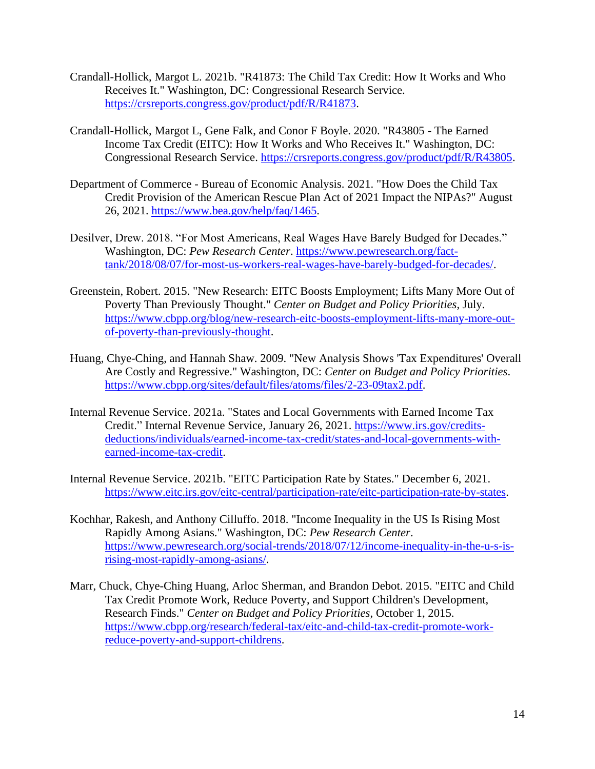- Crandall-Hollick, Margot L. 2021b. "R41873: The Child Tax Credit: How It Works and Who Receives It." Washington, DC: Congressional Research Service. [https://crsreports.congress.gov/product/pdf/R/R41873.](https://crsreports.congress.gov/product/pdf/R/R41873)
- Crandall-Hollick, Margot L, Gene Falk, and Conor F Boyle. 2020. "R43805 The Earned Income Tax Credit (EITC): How It Works and Who Receives It." Washington, DC: Congressional Research Service. [https://crsreports.congress.gov/product/pdf/R/R43805.](https://crsreports.congress.gov/product/pdf/R/R43805)
- Department of Commerce Bureau of Economic Analysis. 2021. "How Does the Child Tax Credit Provision of the American Rescue Plan Act of 2021 Impact the NIPAs?" August 26, 2021. [https://www.bea.gov/help/faq/1465.](https://www.bea.gov/help/faq/1465)
- Desilver, Drew. 2018. "For Most Americans, Real Wages Have Barely Budged for Decades." Washington, DC: *Pew Research Center*. [https://www.pewresearch.org/fact](https://www.pewresearch.org/fact-tank/2018/08/07/for-most-us-workers-real-wages-have-barely-budged-for-decades/)[tank/2018/08/07/for-most-us-workers-real-wages-have-barely-budged-for-decades/.](https://www.pewresearch.org/fact-tank/2018/08/07/for-most-us-workers-real-wages-have-barely-budged-for-decades/)
- Greenstein, Robert. 2015. "New Research: EITC Boosts Employment; Lifts Many More Out of Poverty Than Previously Thought." *Center on Budget and Policy Priorities*, July. [https://www.cbpp.org/blog/new-research-eitc-boosts-employment-lifts-many-more-out](https://www.cbpp.org/blog/new-research-eitc-boosts-employment-lifts-many-more-out-of-poverty-than-previously-thought)[of-poverty-than-previously-thought.](https://www.cbpp.org/blog/new-research-eitc-boosts-employment-lifts-many-more-out-of-poverty-than-previously-thought)
- Huang, Chye-Ching, and Hannah Shaw. 2009. "New Analysis Shows 'Tax Expenditures' Overall Are Costly and Regressive." Washington, DC: *Center on Budget and Policy Priorities*. [https://www.cbpp.org/sites/default/files/atoms/files/2-23-09tax2.pdf.](https://www.cbpp.org/sites/default/files/atoms/files/2-23-09tax2.pdf)
- Internal Revenue Service. 2021a. "States and Local Governments with Earned Income Tax Credit." Internal Revenue Service, January 26, 2021. [https://www.irs.gov/credits](https://www.irs.gov/credits-deductions/individuals/earned-income-tax-credit/states-and-local-governments-with-earned-income-tax-credit)[deductions/individuals/earned-income-tax-credit/states-and-local-governments-with](https://www.irs.gov/credits-deductions/individuals/earned-income-tax-credit/states-and-local-governments-with-earned-income-tax-credit)[earned-income-tax-credit.](https://www.irs.gov/credits-deductions/individuals/earned-income-tax-credit/states-and-local-governments-with-earned-income-tax-credit)
- Internal Revenue Service. 2021b. "EITC Participation Rate by States." December 6, 2021. [https://www.eitc.irs.gov/eitc-central/participation-rate/eitc-participation-rate-by-states.](https://www.eitc.irs.gov/eitc-central/participation-rate/eitc-participation-rate-by-states)
- Kochhar, Rakesh, and Anthony Cilluffo. 2018. "Income Inequality in the US Is Rising Most Rapidly Among Asians." Washington, DC: *Pew Research Center*. [https://www.pewresearch.org/social-trends/2018/07/12/income-inequality-in-the-u-s-is](https://www.pewresearch.org/social-trends/2018/07/12/income-inequality-in-the-u-s-is-rising-most-rapidly-among-asians/)[rising-most-rapidly-among-asians/.](https://www.pewresearch.org/social-trends/2018/07/12/income-inequality-in-the-u-s-is-rising-most-rapidly-among-asians/)
- Marr, Chuck, Chye-Ching Huang, Arloc Sherman, and Brandon Debot. 2015. "EITC and Child Tax Credit Promote Work, Reduce Poverty, and Support Children's Development, Research Finds." *Center on Budget and Policy Priorities*, October 1, 2015. [https://www.cbpp.org/research/federal-tax/eitc-and-child-tax-credit-promote-work](https://www.cbpp.org/research/federal-tax/eitc-and-child-tax-credit-promote-work-reduce-poverty-and-support-childrens)[reduce-poverty-and-support-childrens.](https://www.cbpp.org/research/federal-tax/eitc-and-child-tax-credit-promote-work-reduce-poverty-and-support-childrens)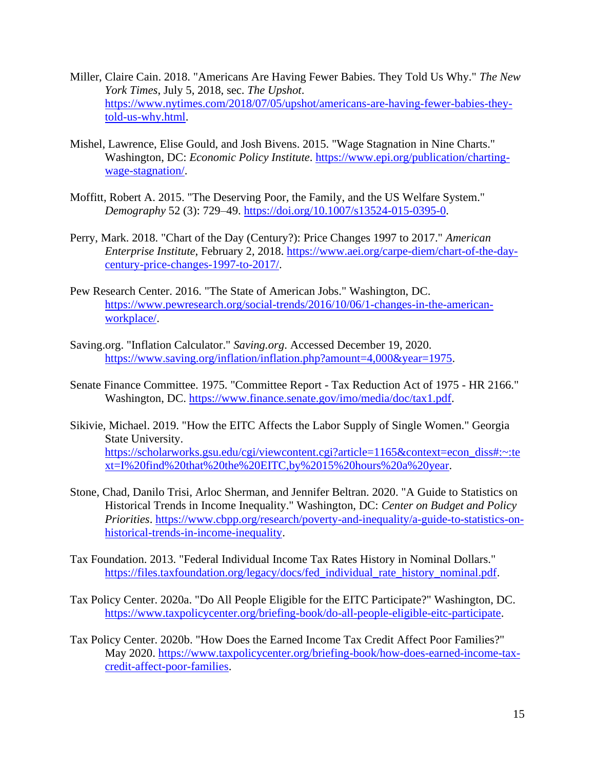- Miller, Claire Cain. 2018. "Americans Are Having Fewer Babies. They Told Us Why." *The New York Times*, July 5, 2018, sec. *The Upshot*. [https://www.nytimes.com/2018/07/05/upshot/americans-are-having-fewer-babies-they](https://www.nytimes.com/2018/07/05/upshot/americans-are-having-fewer-babies-they-told-us-why.html)[told-us-why.html.](https://www.nytimes.com/2018/07/05/upshot/americans-are-having-fewer-babies-they-told-us-why.html)
- Mishel, Lawrence, Elise Gould, and Josh Bivens. 2015. "Wage Stagnation in Nine Charts." Washington, DC: *Economic Policy Institute*. [https://www.epi.org/publication/charting](https://www.epi.org/publication/charting-wage-stagnation/)[wage-stagnation/.](https://www.epi.org/publication/charting-wage-stagnation/)
- Moffitt, Robert A. 2015. "The Deserving Poor, the Family, and the US Welfare System." *Demography* 52 (3): 729–49. [https://doi.org/10.1007/s13524-015-0395-0.](https://doi.org/10.1007/s13524-015-0395-0)
- Perry, Mark. 2018. "Chart of the Day (Century?): Price Changes 1997 to 2017." *American Enterprise Institute*, February 2, 2018. [https://www.aei.org/carpe-diem/chart-of-the-day](https://www.aei.org/carpe-diem/chart-of-the-day-century-price-changes-1997-to-2017/)[century-price-changes-1997-to-2017/.](https://www.aei.org/carpe-diem/chart-of-the-day-century-price-changes-1997-to-2017/)
- Pew Research Center. 2016. "The State of American Jobs." Washington, DC. [https://www.pewresearch.org/social-trends/2016/10/06/1-changes-in-the-american](https://www.pewresearch.org/social-trends/2016/10/06/1-changes-in-the-american-workplace/)[workplace/.](https://www.pewresearch.org/social-trends/2016/10/06/1-changes-in-the-american-workplace/)
- [Saving.org](https://Saving.org). "Inflation Calculator." *[Saving.org](https://Saving.org)*. Accessed December 19, 2020. [https://www.saving.org/inflation/inflation.php?amount=4,000&year=1975.](https://www.saving.org/inflation/inflation.php?amount=4,000&year=1975)
- Senate Finance Committee. 1975. "Committee Report Tax Reduction Act of 1975 HR 2166." Washington, DC. [https://www.finance.senate.gov/imo/media/doc/tax1.pdf.](https://www.finance.senate.gov/imo/media/doc/tax1.pdf)
- Sikivie, Michael. 2019. "How the EITC Affects the Labor Supply of Single Women." Georgia State University. [https://scholarworks.gsu.edu/cgi/viewcontent.cgi?article=1165&context=econ\\_diss#:~:te](https://scholarworks.gsu.edu/cgi/viewcontent.cgi?article=1165&context=econ_diss#:~:text=I%20find%20that%20the%20EITC,by%2015%20hours%20a%20year)  [xt=I%20find%20that%20the%20EITC,by%2015%20hours%20a%20year.](https://scholarworks.gsu.edu/cgi/viewcontent.cgi?article=1165&context=econ_diss#:~:text=I%20find%20that%20the%20EITC,by%2015%20hours%20a%20year)
- Stone, Chad, Danilo Trisi, Arloc Sherman, and Jennifer Beltran. 2020. "A Guide to Statistics on Historical Trends in Income Inequality." Washington, DC: *Center on Budget and Policy Priorities*. [https://www.cbpp.org/research/poverty-and-inequality/a-guide-to-statistics-on](https://www.cbpp.org/research/poverty-and-inequality/a-guide-to-statistics-on-historical-trends-in-income-inequality)[historical-trends-in-income-inequality.](https://www.cbpp.org/research/poverty-and-inequality/a-guide-to-statistics-on-historical-trends-in-income-inequality)
- Tax Foundation. 2013. "Federal Individual Income Tax Rates History in Nominal Dollars." [https://files.taxfoundation.org/legacy/docs/fed\\_individual\\_rate\\_history\\_nominal.pdf.](https://files.taxfoundation.org/legacy/docs/fed_individual_rate_history_nominal.pdf)
- Tax Policy Center. 2020a. "Do All People Eligible for the EITC Participate?" Washington, DC. [https://www.taxpolicycenter.org/briefing-book/do-all-people-eligible-eitc-participate.](https://www.taxpolicycenter.org/briefing-book/do-all-people-eligible-eitc-participate)
- Tax Policy Center. 2020b. "How Does the Earned Income Tax Credit Affect Poor Families?" May 2020. [https://www.taxpolicycenter.org/briefing-book/how-does-earned-income-tax](https://www.taxpolicycenter.org/briefing-book/how-does-earned-income-tax-credit-affect-poor-families)[credit-affect-poor-families.](https://www.taxpolicycenter.org/briefing-book/how-does-earned-income-tax-credit-affect-poor-families)